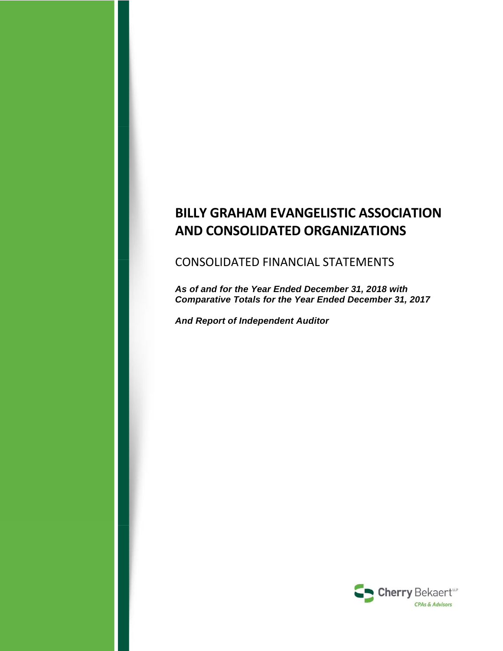# **BILLY GRAHAM EVANGELISTIC ASSOCIATION AND CONSOLIDATED ORGANIZATIONS**

# CONSOLIDATED FINANCIAL STATEMENTS

*As of and for the Year Ended December 31, 2018 with Comparative Totals for the Year Ended December 31, 2017*

*And Report of Independent Auditor* 

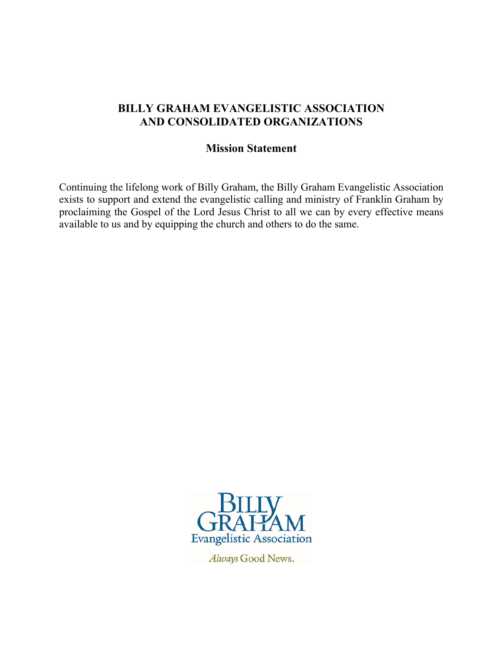# **BILLY GRAHAM EVANGELISTIC ASSOCIATION AND CONSOLIDATED ORGANIZATIONS**

### **Mission Statement**

Continuing the lifelong work of Billy Graham, the Billy Graham Evangelistic Association exists to support and extend the evangelistic calling and ministry of Franklin Graham by proclaiming the Gospel of the Lord Jesus Christ to all we can by every effective means available to us and by equipping the church and others to do the same.



Always Good News.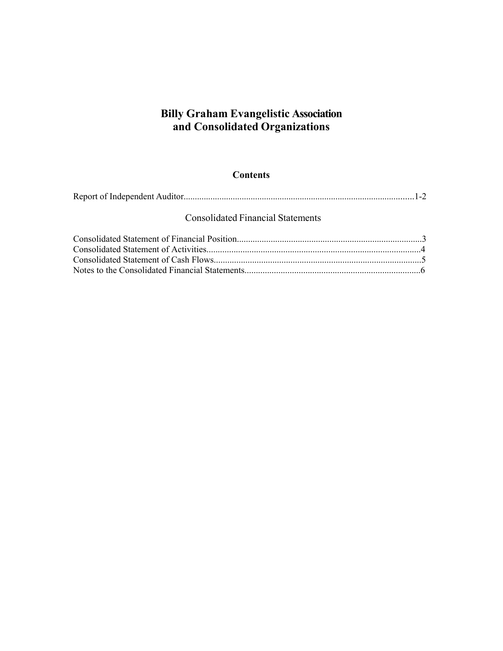#### **Contents**

| <b>Consolidated Financial Statements</b> |  |
|------------------------------------------|--|
|                                          |  |
|                                          |  |

Consolidated Statement of Cash Flows............................................................................................5 Notes to the Consolidated Financial Statements..............................................................................6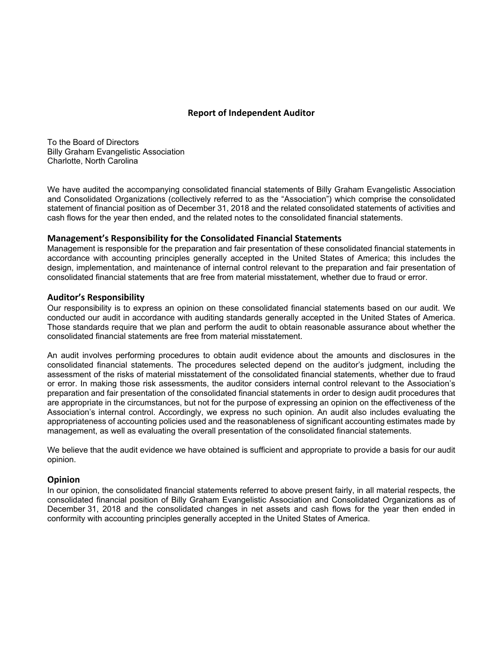#### **Report of Independent Auditor**

To the Board of Directors Billy Graham Evangelistic Association Charlotte, North Carolina

We have audited the accompanying consolidated financial statements of Billy Graham Evangelistic Association and Consolidated Organizations (collectively referred to as the "Association") which comprise the consolidated statement of financial position as of December 31, 2018 and the related consolidated statements of activities and cash flows for the year then ended, and the related notes to the consolidated financial statements.

#### **Management's Responsibility for the Consolidated Financial Statements**

Management is responsible for the preparation and fair presentation of these consolidated financial statements in accordance with accounting principles generally accepted in the United States of America; this includes the design, implementation, and maintenance of internal control relevant to the preparation and fair presentation of consolidated financial statements that are free from material misstatement, whether due to fraud or error.

#### **Auditor's Responsibility**

Our responsibility is to express an opinion on these consolidated financial statements based on our audit. We conducted our audit in accordance with auditing standards generally accepted in the United States of America. Those standards require that we plan and perform the audit to obtain reasonable assurance about whether the consolidated financial statements are free from material misstatement.

An audit involves performing procedures to obtain audit evidence about the amounts and disclosures in the consolidated financial statements. The procedures selected depend on the auditor's judgment, including the assessment of the risks of material misstatement of the consolidated financial statements, whether due to fraud or error. In making those risk assessments, the auditor considers internal control relevant to the Association's preparation and fair presentation of the consolidated financial statements in order to design audit procedures that are appropriate in the circumstances, but not for the purpose of expressing an opinion on the effectiveness of the Association's internal control. Accordingly, we express no such opinion. An audit also includes evaluating the appropriateness of accounting policies used and the reasonableness of significant accounting estimates made by management, as well as evaluating the overall presentation of the consolidated financial statements.

We believe that the audit evidence we have obtained is sufficient and appropriate to provide a basis for our audit opinion.

#### **Opinion**

In our opinion, the consolidated financial statements referred to above present fairly, in all material respects, the consolidated financial position of Billy Graham Evangelistic Association and Consolidated Organizations as of December 31, 2018 and the consolidated changes in net assets and cash flows for the year then ended in conformity with accounting principles generally accepted in the United States of America.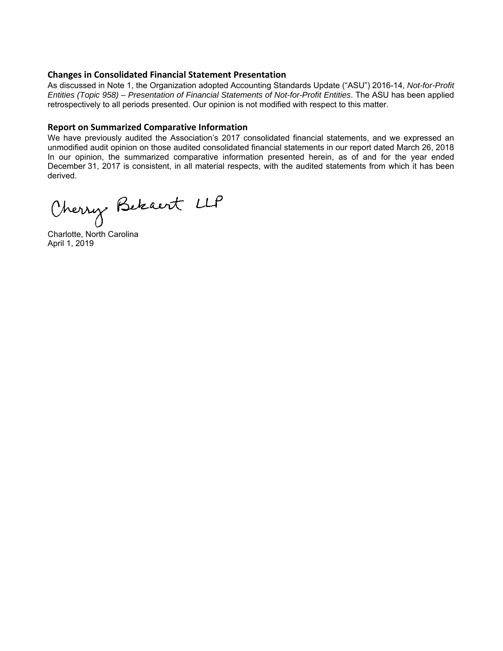#### **Changes in Consolidated Financial Statement Presentation**

As discussed in Note 1, the Organization adopted Accounting Standards Update ("ASU") 2016-14, *Not-for-Profit Entities (Topic 958) – Presentation of Financial Statements of Not-for-Profit Entities*. The ASU has been applied retrospectively to all periods presented. Our opinion is not modified with respect to this matter.

#### **Report on Summarized Comparative Information**

We have previously audited the Association's 2017 consolidated financial statements, and we expressed an unmodified audit opinion on those audited consolidated financial statements in our report dated March 26, 2018 In our opinion, the summarized comparative information presented herein, as of and for the year ended December 31, 2017 is consistent, in all material respects, with the audited statements from which it has been derived.

Cherry Bekaert LLP

Charlotte, North Carolina April 1, 2019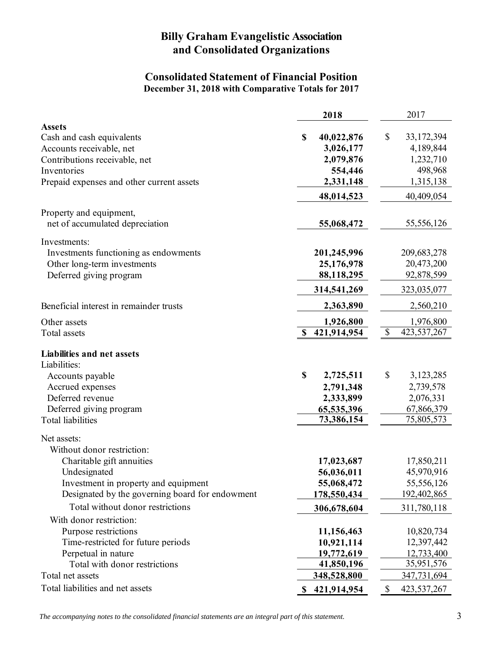# **Consolidated Statement of Financial Position**

**December 31, 2018 with Comparative Totals for 2017** 

|                                                 | 2018                        | 2017                                     |
|-------------------------------------------------|-----------------------------|------------------------------------------|
| <b>Assets</b>                                   |                             |                                          |
| Cash and cash equivalents                       | S<br>40,022,876             | \$<br>33, 172, 394                       |
| Accounts receivable, net                        | 3,026,177                   | 4,189,844                                |
| Contributions receivable, net                   | 2,079,876                   | 1,232,710                                |
| Inventories                                     | 554,446                     | 498,968                                  |
| Prepaid expenses and other current assets       | 2,331,148                   | 1,315,138                                |
|                                                 | 48,014,523                  | 40,409,054                               |
| Property and equipment,                         |                             |                                          |
| net of accumulated depreciation                 | 55,068,472                  | 55,556,126                               |
| Investments:                                    |                             |                                          |
| Investments functioning as endowments           | 201,245,996                 | 209,683,278                              |
| Other long-term investments                     | 25,176,978                  | 20,473,200                               |
| Deferred giving program                         | 88,118,295                  | 92,878,599                               |
|                                                 | 314,541,269                 | 323,035,077                              |
| Beneficial interest in remainder trusts         | 2,363,890                   | 2,560,210                                |
| Other assets                                    | 1,926,800                   | 1,976,800                                |
| <b>Total</b> assets                             | $\mathbb{S}$<br>421,914,954 | $\boldsymbol{\mathsf{S}}$<br>423,537,267 |
| <b>Liabilities and net assets</b>               |                             |                                          |
| Liabilities:                                    |                             |                                          |
| Accounts payable                                | $\mathbf S$<br>2,725,511    | \$<br>3,123,285                          |
| Accrued expenses                                | 2,791,348                   | 2,739,578                                |
| Deferred revenue                                | 2,333,899                   | 2,076,331                                |
| Deferred giving program                         | 65,535,396                  | 67,866,379                               |
| <b>Total liabilities</b>                        | 73,386,154                  | 75,805,573                               |
| Net assets:                                     |                             |                                          |
| Without donor restriction:                      |                             |                                          |
| Charitable gift annuities                       | 17,023,687                  | 17,850,211                               |
| Undesignated                                    | 56,036,011                  | 45,970,916                               |
| Investment in property and equipment            | 55,068,472                  | 55,556,126                               |
| Designated by the governing board for endowment | 178,550,434                 | 192,402,865                              |
| Total without donor restrictions                | 306,678,604                 | 311,780,118                              |
| With donor restriction:                         |                             |                                          |
| Purpose restrictions                            | 11,156,463                  | 10,820,734                               |
| Time-restricted for future periods              | 10,921,114                  | 12,397,442                               |
| Perpetual in nature                             | 19,772,619                  | 12,733,400                               |
| Total with donor restrictions                   | 41,850,196                  | 35,951,576                               |
| Total net assets                                | 348,528,800                 | 347,731,694                              |
| Total liabilities and net assets                | \$421,914,954               | \$<br>423, 537, 267                      |

*The accompanying notes to the consolidated financial statements are an integral part of this statement.*  $3$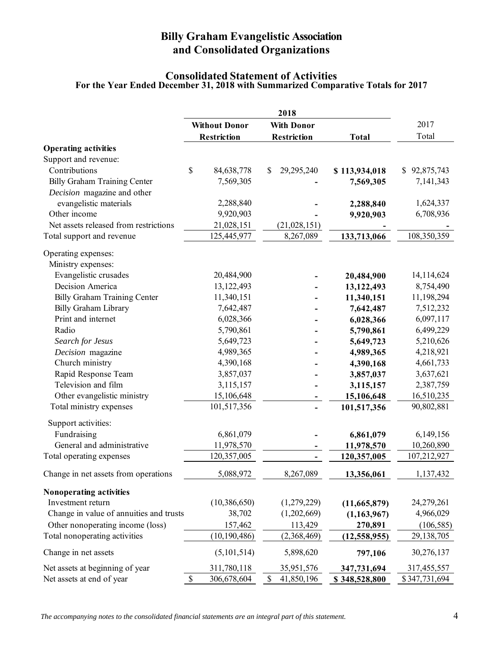#### **Consolidated Statement of Activities For the Year Ended December 31, 2018 with Summarized Comparative Totals for 2017**

|                                              |                           |                           | 2018               |                            |                |                          |  |
|----------------------------------------------|---------------------------|---------------------------|--------------------|----------------------------|----------------|--------------------------|--|
|                                              | <b>Without Donor</b>      |                           | <b>With Donor</b>  |                            |                | 2017                     |  |
|                                              |                           | <b>Restriction</b>        | <b>Restriction</b> |                            | <b>Total</b>   | Total                    |  |
| <b>Operating activities</b>                  |                           |                           |                    |                            |                |                          |  |
| Support and revenue:                         |                           |                           |                    |                            |                |                          |  |
| Contributions                                | \$                        | 84,638,778                | \$                 | 29,295,240                 | \$113,934,018  | 92,875,743<br>\$         |  |
| <b>Billy Graham Training Center</b>          |                           | 7,569,305                 |                    |                            | 7,569,305      | 7,141,343                |  |
| Decision magazine and other                  |                           |                           |                    |                            |                |                          |  |
| evangelistic materials                       |                           | 2,288,840                 |                    |                            | 2,288,840      | 1,624,337                |  |
| Other income                                 |                           | 9,920,903                 |                    |                            | 9,920,903      | 6,708,936                |  |
| Net assets released from restrictions        |                           | 21,028,151                |                    | (21,028,151)               |                |                          |  |
| Total support and revenue                    |                           | 125,445,977               |                    | 8,267,089                  | 133,713,066    | 108,350,359              |  |
| Operating expenses:                          |                           |                           |                    |                            |                |                          |  |
| Ministry expenses:                           |                           |                           |                    |                            |                |                          |  |
| Evangelistic crusades                        |                           | 20,484,900                |                    |                            | 20,484,900     | 14, 114, 624             |  |
| Decision America                             |                           | 13, 122, 493              |                    |                            | 13,122,493     | 8,754,490                |  |
| <b>Billy Graham Training Center</b>          |                           | 11,340,151                |                    |                            | 11,340,151     | 11,198,294               |  |
| <b>Billy Graham Library</b>                  |                           | 7,642,487                 |                    |                            | 7,642,487      | 7,512,232                |  |
| Print and internet                           |                           | 6,028,366                 |                    |                            | 6,028,366      | 6,097,117                |  |
| Radio                                        |                           | 5,790,861                 |                    |                            | 5,790,861      | 6,499,229                |  |
| Search for Jesus                             |                           | 5,649,723                 |                    |                            | 5,649,723      | 5,210,626                |  |
| Decision magazine                            |                           | 4,989,365                 |                    |                            | 4,989,365      | 4,218,921                |  |
| Church ministry                              |                           | 4,390,168                 |                    |                            | 4,390,168      | 4,661,733                |  |
| Rapid Response Team                          |                           | 3,857,037                 |                    |                            | 3,857,037      | 3,637,621                |  |
| Television and film                          |                           | 3,115,157                 |                    |                            | 3,115,157      | 2,387,759                |  |
| Other evangelistic ministry                  |                           | 15,106,648                |                    | -                          | 15,106,648     | 16,510,235               |  |
| Total ministry expenses                      |                           | 101,517,356               |                    |                            | 101,517,356    | 90,802,881               |  |
| Support activities:                          |                           |                           |                    |                            |                |                          |  |
| Fundraising                                  |                           | 6,861,079                 |                    |                            | 6,861,079      | 6,149,156                |  |
| General and administrative                   |                           | 11,978,570                |                    | -                          | 11,978,570     | 10,260,890               |  |
| Total operating expenses                     |                           | 120,357,005               |                    |                            | 120,357,005    | 107,212,927              |  |
| Change in net assets from operations         |                           | 5,088,972                 |                    | 8,267,089                  | 13,356,061     | 1,137,432                |  |
|                                              |                           |                           |                    |                            |                |                          |  |
| Nonoperating activities<br>Investment return |                           |                           |                    |                            |                | 24,279,261               |  |
| Change in value of annuities and trusts      |                           | (10, 386, 650)<br>38,702  |                    | (1,279,229)<br>(1,202,669) | (11,665,879)   | 4,966,029                |  |
| Other nonoperating income (loss)             |                           |                           |                    | 113,429                    | (1, 163, 967)  |                          |  |
| Total nonoperating activities                |                           | 157,462<br>(10, 190, 486) |                    | (2,368,469)                | 270,891        | (106, 585)<br>29,138,705 |  |
|                                              |                           |                           |                    |                            | (12, 558, 955) |                          |  |
| Change in net assets                         |                           | (5, 101, 514)             |                    | 5,898,620                  | 797,106        | 30,276,137               |  |
| Net assets at beginning of year              |                           | 311,780,118               |                    | 35,951,576                 | 347,731,694    | 317,455,557              |  |
| Net assets at end of year                    | $\boldsymbol{\mathsf{S}}$ | 306,678,604               | \$                 | 41,850,196                 | \$348,528,800  | \$347,731,694            |  |

*The accompanying notes to the consolidated financial statements are an integral part of this statement.* 4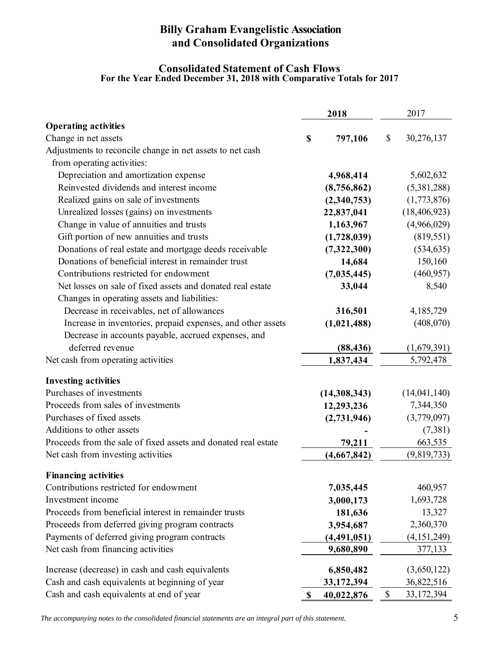#### **Consolidated Statement of Cash Flows For the Year Ended December 31, 2018 with Comparative Totals for 2017**

|                                                                | 2018         |              | 2017 |                |
|----------------------------------------------------------------|--------------|--------------|------|----------------|
| <b>Operating activities</b>                                    |              |              |      |                |
| Change in net assets                                           | \$           | 797,106      | \$   | 30,276,137     |
| Adjustments to reconcile change in net assets to net cash      |              |              |      |                |
| from operating activities:                                     |              |              |      |                |
| Depreciation and amortization expense                          |              | 4,968,414    |      | 5,602,632      |
| Reinvested dividends and interest income                       |              | (8,756,862)  |      | (5,381,288)    |
| Realized gains on sale of investments                          |              | (2,340,753)  |      | (1,773,876)    |
| Unrealized losses (gains) on investments                       |              | 22,837,041   |      | (18, 406, 923) |
| Change in value of annuities and trusts                        |              | 1,163,967    |      | (4,966,029)    |
| Gift portion of new annuities and trusts                       |              | (1,728,039)  |      | (819, 551)     |
| Donations of real estate and mortgage deeds receivable         |              | (7,322,300)  |      | (534, 635)     |
| Donations of beneficial interest in remainder trust            |              | 14,684       |      | 150,160        |
| Contributions restricted for endowment                         |              | (7,035,445)  |      | (460, 957)     |
| Net losses on sale of fixed assets and donated real estate     |              | 33,044       |      | 8,540          |
| Changes in operating assets and liabilities:                   |              |              |      |                |
| Decrease in receivables, net of allowances                     |              | 316,501      |      | 4,185,729      |
| Increase in inventories, prepaid expenses, and other assets    |              | (1,021,488)  |      | (408,070)      |
| Decrease in accounts payable, accrued expenses, and            |              |              |      |                |
| deferred revenue                                               |              | (88, 436)    |      | (1,679,391)    |
| Net cash from operating activities                             |              | 1,837,434    |      | 5,792,478      |
| <b>Investing activities</b>                                    |              |              |      |                |
| Purchases of investments                                       |              | (14,308,343) |      | (14,041,140)   |
| Proceeds from sales of investments                             |              | 12,293,236   |      | 7,344,350      |
| Purchases of fixed assets                                      |              | (2,731,946)  |      | (3,779,097)    |
| Additions to other assets                                      |              |              |      | (7,381)        |
| Proceeds from the sale of fixed assets and donated real estate |              | 79,211       |      | 663,535        |
| Net cash from investing activities                             |              | (4,667,842)  |      | (9,819,733)    |
| <b>Financing activities</b>                                    |              |              |      |                |
| Contributions restricted for endowment                         |              | 7,035,445    |      | 460,957        |
| Investment income                                              |              | 3,000,173    |      | 1,693,728      |
| Proceeds from beneficial interest in remainder trusts          |              | 181,636      |      | 13,327         |
| Proceeds from deferred giving program contracts                |              | 3,954,687    |      | 2,360,370      |
| Payments of deferred giving program contracts                  |              | (4,491,051)  |      | (4, 151, 249)  |
| Net cash from financing activities                             |              | 9,680,890    |      | 377,133        |
| Increase (decrease) in cash and cash equivalents               |              | 6,850,482    |      | (3,650,122)    |
| Cash and cash equivalents at beginning of year                 |              | 33,172,394   |      | 36,822,516     |
| Cash and cash equivalents at end of year                       | <sup>S</sup> | 40,022,876   | $\$$ | 33, 172, 394   |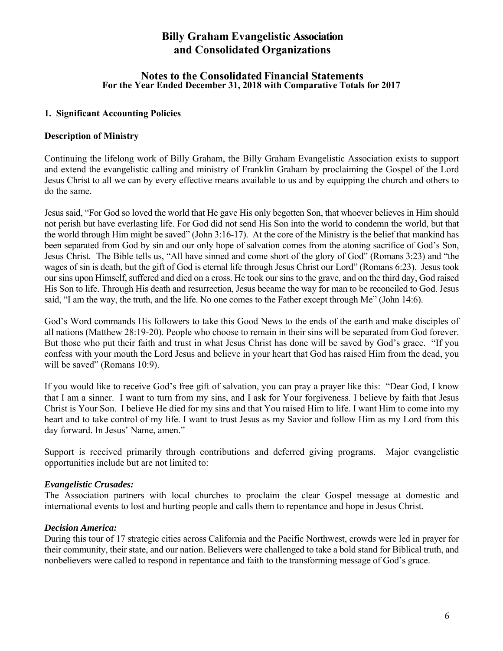#### **Notes to the Consolidated Financial Statements For the Year Ended December 31, 2018 with Comparative Totals for 2017**

### **1. Significant Accounting Policies**

### **Description of Ministry**

Continuing the lifelong work of Billy Graham, the Billy Graham Evangelistic Association exists to support and extend the evangelistic calling and ministry of Franklin Graham by proclaiming the Gospel of the Lord Jesus Christ to all we can by every effective means available to us and by equipping the church and others to do the same.

Jesus said, "For God so loved the world that He gave His only begotten Son, that whoever believes in Him should not perish but have everlasting life. For God did not send His Son into the world to condemn the world, but that the world through Him might be saved" (John 3:16-17). At the core of the Ministry is the belief that mankind has been separated from God by sin and our only hope of salvation comes from the atoning sacrifice of God's Son, Jesus Christ. The Bible tells us, "All have sinned and come short of the glory of God" (Romans 3:23) and "the wages of sin is death, but the gift of God is eternal life through Jesus Christ our Lord" (Romans 6:23). Jesus took our sins upon Himself, suffered and died on a cross. He took our sins to the grave, and on the third day, God raised His Son to life. Through His death and resurrection, Jesus became the way for man to be reconciled to God. Jesus said, "I am the way, the truth, and the life. No one comes to the Father except through Me" (John 14:6).

God's Word commands His followers to take this Good News to the ends of the earth and make disciples of all nations (Matthew 28:19-20). People who choose to remain in their sins will be separated from God forever. But those who put their faith and trust in what Jesus Christ has done will be saved by God's grace. "If you confess with your mouth the Lord Jesus and believe in your heart that God has raised Him from the dead, you will be saved" (Romans 10:9).

If you would like to receive God's free gift of salvation, you can pray a prayer like this: "Dear God, I know that I am a sinner. I want to turn from my sins, and I ask for Your forgiveness. I believe by faith that Jesus Christ is Your Son. I believe He died for my sins and that You raised Him to life. I want Him to come into my heart and to take control of my life. I want to trust Jesus as my Savior and follow Him as my Lord from this day forward. In Jesus' Name, amen."

Support is received primarily through contributions and deferred giving programs. Major evangelistic opportunities include but are not limited to:

#### *Evangelistic Crusades:*

The Association partners with local churches to proclaim the clear Gospel message at domestic and international events to lost and hurting people and calls them to repentance and hope in Jesus Christ.

#### *Decision America:*

During this tour of 17 strategic cities across California and the Pacific Northwest, crowds were led in prayer for their community, their state, and our nation. Believers were challenged to take a bold stand for Biblical truth, and nonbelievers were called to respond in repentance and faith to the transforming message of God's grace.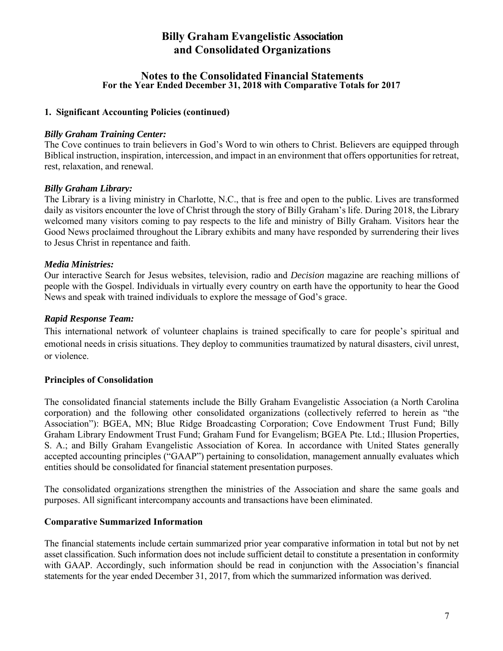#### **Notes to the Consolidated Financial Statements For the Year Ended December 31, 2018 with Comparative Totals for 2017**

### **1. Significant Accounting Policies (continued)**

#### *Billy Graham Training Center:*

The Cove continues to train believers in God's Word to win others to Christ. Believers are equipped through Biblical instruction, inspiration, intercession, and impact in an environment that offers opportunities for retreat, rest, relaxation, and renewal.

#### *Billy Graham Library:*

The Library is a living ministry in Charlotte, N.C., that is free and open to the public. Lives are transformed daily as visitors encounter the love of Christ through the story of Billy Graham's life. During 2018, the Library welcomed many visitors coming to pay respects to the life and ministry of Billy Graham. Visitors hear the Good News proclaimed throughout the Library exhibits and many have responded by surrendering their lives to Jesus Christ in repentance and faith.

#### *Media Ministries:*

Our interactive Search for Jesus websites, television, radio and *Decision* magazine are reaching millions of people with the Gospel. Individuals in virtually every country on earth have the opportunity to hear the Good News and speak with trained individuals to explore the message of God's grace.

#### *Rapid Response Team:*

This international network of volunteer chaplains is trained specifically to care for people's spiritual and emotional needs in crisis situations. They deploy to communities traumatized by natural disasters, civil unrest, or violence.

#### **Principles of Consolidation**

The consolidated financial statements include the Billy Graham Evangelistic Association (a North Carolina corporation) and the following other consolidated organizations (collectively referred to herein as "the Association"): BGEA, MN; Blue Ridge Broadcasting Corporation; Cove Endowment Trust Fund; Billy Graham Library Endowment Trust Fund; Graham Fund for Evangelism; BGEA Pte. Ltd.; Illusion Properties, S. A.; and Billy Graham Evangelistic Association of Korea. In accordance with United States generally accepted accounting principles ("GAAP") pertaining to consolidation, management annually evaluates which entities should be consolidated for financial statement presentation purposes.

The consolidated organizations strengthen the ministries of the Association and share the same goals and purposes. All significant intercompany accounts and transactions have been eliminated.

#### **Comparative Summarized Information**

The financial statements include certain summarized prior year comparative information in total but not by net asset classification. Such information does not include sufficient detail to constitute a presentation in conformity with GAAP. Accordingly, such information should be read in conjunction with the Association's financial statements for the year ended December 31, 2017, from which the summarized information was derived.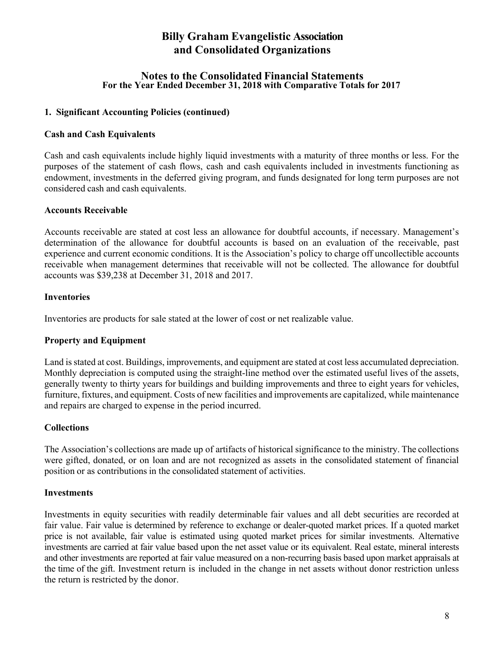#### **Notes to the Consolidated Financial Statements For the Year Ended December 31, 2018 with Comparative Totals for 2017**

### **1. Significant Accounting Policies (continued)**

### **Cash and Cash Equivalents**

Cash and cash equivalents include highly liquid investments with a maturity of three months or less. For the purposes of the statement of cash flows, cash and cash equivalents included in investments functioning as endowment, investments in the deferred giving program, and funds designated for long term purposes are not considered cash and cash equivalents.

#### **Accounts Receivable**

Accounts receivable are stated at cost less an allowance for doubtful accounts, if necessary. Management's determination of the allowance for doubtful accounts is based on an evaluation of the receivable, past experience and current economic conditions. It is the Association's policy to charge off uncollectible accounts receivable when management determines that receivable will not be collected. The allowance for doubtful accounts was \$39,238 at December 31, 2018 and 2017.

#### **Inventories**

Inventories are products for sale stated at the lower of cost or net realizable value.

#### **Property and Equipment**

Land is stated at cost. Buildings, improvements, and equipment are stated at cost less accumulated depreciation. Monthly depreciation is computed using the straight-line method over the estimated useful lives of the assets, generally twenty to thirty years for buildings and building improvements and three to eight years for vehicles, furniture, fixtures, and equipment. Costs of new facilities and improvements are capitalized, while maintenance and repairs are charged to expense in the period incurred.

#### **Collections**

The Association's collections are made up of artifacts of historical significance to the ministry. The collections were gifted, donated, or on loan and are not recognized as assets in the consolidated statement of financial position or as contributions in the consolidated statement of activities.

#### **Investments**

Investments in equity securities with readily determinable fair values and all debt securities are recorded at fair value. Fair value is determined by reference to exchange or dealer-quoted market prices. If a quoted market price is not available, fair value is estimated using quoted market prices for similar investments. Alternative investments are carried at fair value based upon the net asset value or its equivalent. Real estate, mineral interests and other investments are reported at fair value measured on a non-recurring basis based upon market appraisals at the time of the gift. Investment return is included in the change in net assets without donor restriction unless the return is restricted by the donor.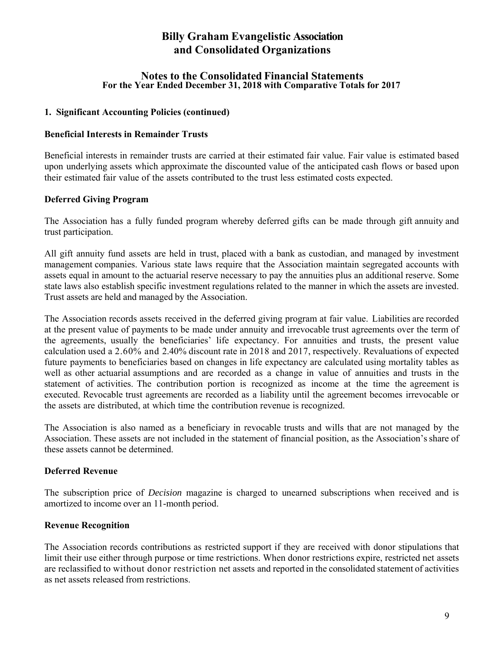#### **Notes to the Consolidated Financial Statements For the Year Ended December 31, 2018 with Comparative Totals for 2017**

### **1. Significant Accounting Policies (continued)**

#### **Beneficial Interests in Remainder Trusts**

Beneficial interests in remainder trusts are carried at their estimated fair value. Fair value is estimated based upon underlying assets which approximate the discounted value of the anticipated cash flows or based upon their estimated fair value of the assets contributed to the trust less estimated costs expected.

### **Deferred Giving Program**

The Association has a fully funded program whereby deferred gifts can be made through gift annuity and trust participation.

All gift annuity fund assets are held in trust, placed with a bank as custodian, and managed by investment management companies. Various state laws require that the Association maintain segregated accounts with assets equal in amount to the actuarial reserve necessary to pay the annuities plus an additional reserve. Some state laws also establish specific investment regulations related to the manner in which the assets are invested. Trust assets are held and managed by the Association.

The Association records assets received in the deferred giving program at fair value. Liabilities are recorded at the present value of payments to be made under annuity and irrevocable trust agreements over the term of the agreements, usually the beneficiaries' life expectancy. For annuities and trusts, the present value calculation used a 2.60% and 2.40% discount rate in 2018 and 2017, respectively. Revaluations of expected future payments to beneficiaries based on changes in life expectancy are calculated using mortality tables as well as other actuarial assumptions and are recorded as a change in value of annuities and trusts in the statement of activities. The contribution portion is recognized as income at the time the agreement is executed. Revocable trust agreements are recorded as a liability until the agreement becomes irrevocable or the assets are distributed, at which time the contribution revenue is recognized.

The Association is also named as a beneficiary in revocable trusts and wills that are not managed by the Association. These assets are not included in the statement of financial position, as the Association's share of these assets cannot be determined.

### **Deferred Revenue**

The subscription price of *Decision* magazine is charged to unearned subscriptions when received and is amortized to income over an 11-month period.

### **Revenue Recognition**

The Association records contributions as restricted support if they are received with donor stipulations that limit their use either through purpose or time restrictions. When donor restrictions expire, restricted net assets are reclassified to without donor restriction net assets and reported in the consolidated statement of activities as net assets released from restrictions.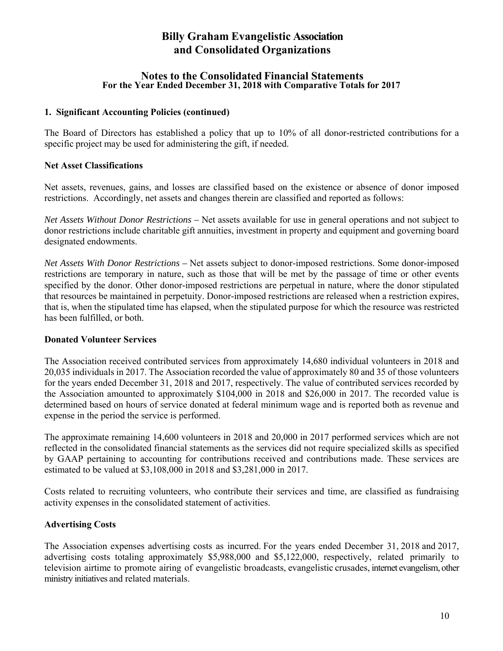#### **Notes to the Consolidated Financial Statements For the Year Ended December 31, 2018 with Comparative Totals for 2017**

#### **1. Significant Accounting Policies (continued)**

The Board of Directors has established a policy that up to 10% of all donor-restricted contributions for a specific project may be used for administering the gift, if needed.

#### **Net Asset Classifications**

Net assets, revenues, gains, and losses are classified based on the existence or absence of donor imposed restrictions. Accordingly, net assets and changes therein are classified and reported as follows:

*Net Assets Without Donor Restrictions –* Net assets available for use in general operations and not subject to donor restrictions include charitable gift annuities, investment in property and equipment and governing board designated endowments.

*Net Assets With Donor Restrictions –* Net assets subject to donor-imposed restrictions. Some donor-imposed restrictions are temporary in nature, such as those that will be met by the passage of time or other events specified by the donor. Other donor-imposed restrictions are perpetual in nature, where the donor stipulated that resources be maintained in perpetuity. Donor-imposed restrictions are released when a restriction expires, that is, when the stipulated time has elapsed, when the stipulated purpose for which the resource was restricted has been fulfilled, or both.

#### **Donated Volunteer Services**

The Association received contributed services from approximately 14,680 individual volunteers in 2018 and 20,035 individuals in 2017. The Association recorded the value of approximately 80 and 35 of those volunteers for the years ended December 31, 2018 and 2017, respectively. The value of contributed services recorded by the Association amounted to approximately \$104,000 in 2018 and \$26,000 in 2017. The recorded value is determined based on hours of service donated at federal minimum wage and is reported both as revenue and expense in the period the service is performed.

The approximate remaining 14,600 volunteers in 2018 and 20,000 in 2017 performed services which are not reflected in the consolidated financial statements as the services did not require specialized skills as specified by GAAP pertaining to accounting for contributions received and contributions made. These services are estimated to be valued at \$3,108,000 in 2018 and \$3,281,000 in 2017.

Costs related to recruiting volunteers, who contribute their services and time, are classified as fundraising activity expenses in the consolidated statement of activities.

#### **Advertising Costs**

The Association expenses advertising costs as incurred. For the years ended December 31, 2018 and 2017, advertising costs totaling approximately \$5,988,000 and \$5,122,000, respectively, related primarily to television airtime to promote airing of evangelistic broadcasts, evangelistic crusades, internet evangelism, other ministry initiatives and related materials.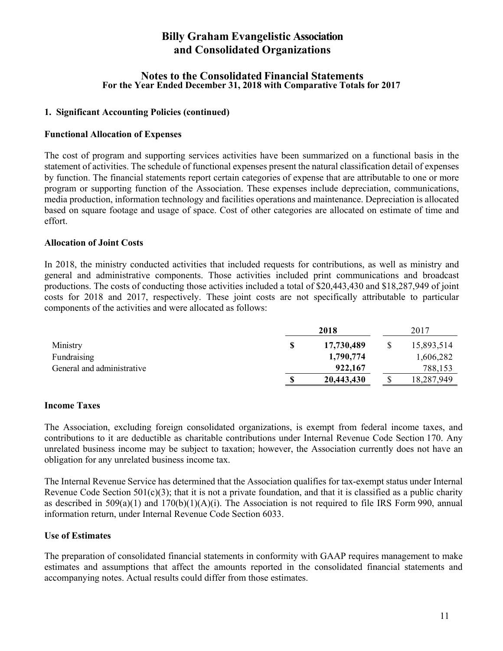#### **Notes to the Consolidated Financial Statements For the Year Ended December 31, 2018 with Comparative Totals for 2017**

#### **1. Significant Accounting Policies (continued)**

#### **Functional Allocation of Expenses**

The cost of program and supporting services activities have been summarized on a functional basis in the statement of activities. The schedule of functional expenses present the natural classification detail of expenses by function. The financial statements report certain categories of expense that are attributable to one or more program or supporting function of the Association. These expenses include depreciation, communications, media production, information technology and facilities operations and maintenance. Depreciation is allocated based on square footage and usage of space. Cost of other categories are allocated on estimate of time and effort.

#### **Allocation of Joint Costs**

In 2018, the ministry conducted activities that included requests for contributions, as well as ministry and general and administrative components. Those activities included print communications and broadcast productions. The costs of conducting those activities included a total of \$20,443,430 and \$18,287,949 of joint costs for 2018 and 2017, respectively. These joint costs are not specifically attributable to particular components of the activities and were allocated as follows:

|                            |    | 2018       |  |            |
|----------------------------|----|------------|--|------------|
| Ministry                   | S  | 17,730,489 |  | 15,893,514 |
| Fundraising                |    | 1,790,774  |  | 1,606,282  |
| General and administrative |    | 922,167    |  | 788,153    |
|                            | \$ | 20,443,430 |  | 18,287,949 |

#### **Income Taxes**

The Association, excluding foreign consolidated organizations, is exempt from federal income taxes, and contributions to it are deductible as charitable contributions under Internal Revenue Code Section 170. Any unrelated business income may be subject to taxation; however, the Association currently does not have an obligation for any unrelated business income tax.

The Internal Revenue Service has determined that the Association qualifies for tax-exempt status under Internal Revenue Code Section  $501(c)(3)$ ; that it is not a private foundation, and that it is classified as a public charity as described in  $509(a)(1)$  and  $170(b)(1)(A)(i)$ . The Association is not required to file IRS Form 990, annual information return, under Internal Revenue Code Section 6033.

#### **Use of Estimates**

The preparation of consolidated financial statements in conformity with GAAP requires management to make estimates and assumptions that affect the amounts reported in the consolidated financial statements and accompanying notes. Actual results could differ from those estimates.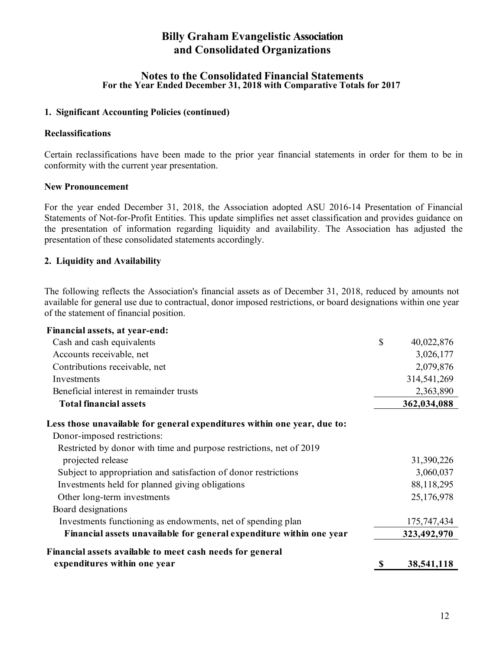#### **Notes to the Consolidated Financial Statements For the Year Ended December 31, 2018 with Comparative Totals for 2017**

#### **1. Significant Accounting Policies (continued)**

#### **Reclassifications**

Certain reclassifications have been made to the prior year financial statements in order for them to be in conformity with the current year presentation.

#### **New Pronouncement**

For the year ended December 31, 2018, the Association adopted ASU 2016-14 Presentation of Financial Statements of Not-for-Profit Entities. This update simplifies net asset classification and provides guidance on the presentation of information regarding liquidity and availability. The Association has adjusted the presentation of these consolidated statements accordingly.

#### **2. Liquidity and Availability**

The following reflects the Association's financial assets as of December 31, 2018, reduced by amounts not available for general use due to contractual, donor imposed restrictions, or board designations within one year of the statement of financial position.

| Financial assets, at year-end:                                           |               |             |
|--------------------------------------------------------------------------|---------------|-------------|
| Cash and cash equivalents                                                | $\mathcal{S}$ | 40,022,876  |
| Accounts receivable, net                                                 |               | 3,026,177   |
| Contributions receivable, net                                            |               | 2,079,876   |
| Investments                                                              |               | 314,541,269 |
| Beneficial interest in remainder trusts                                  |               | 2,363,890   |
| <b>Total financial assets</b>                                            |               | 362,034,088 |
| Less those unavailable for general expenditures within one year, due to: |               |             |
| Donor-imposed restrictions:                                              |               |             |
| Restricted by donor with time and purpose restrictions, net of 2019      |               |             |
| projected release                                                        |               | 31,390,226  |
| Subject to appropriation and satisfaction of donor restrictions          |               | 3,060,037   |
| Investments held for planned giving obligations                          |               | 88,118,295  |
| Other long-term investments                                              |               | 25,176,978  |
| Board designations                                                       |               |             |
| Investments functioning as endowments, net of spending plan              |               | 175,747,434 |
| Financial assets unavailable for general expenditure within one year     |               | 323,492,970 |
| Financial assets available to meet cash needs for general                |               |             |
| expenditures within one year                                             | \$            | 38,541,118  |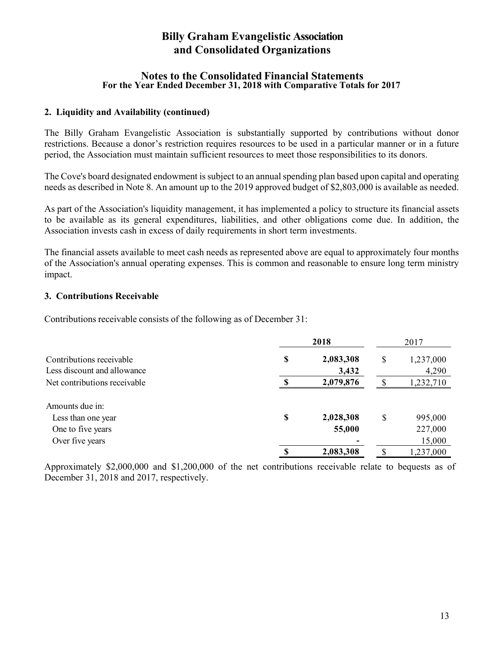#### **Notes to the Consolidated Financial Statements For the Year Ended December 31, 2018 with Comparative Totals for 2017**

### **2. Liquidity and Availability (continued)**

The Billy Graham Evangelistic Association is substantially supported by contributions without donor restrictions. Because a donor's restriction requires resources to be used in a particular manner or in a future period, the Association must maintain sufficient resources to meet those responsibilities to its donors.

The Cove's board designated endowment is subject to an annual spending plan based upon capital and operating needs as described in Note 8. An amount up to the 2019 approved budget of \$2,803,000 is available as needed.

As part of the Association's liquidity management, it has implemented a policy to structure its financial assets to be available as its general expenditures, liabilities, and other obligations come due. In addition, the Association invests cash in excess of daily requirements in short term investments.

The financial assets available to meet cash needs as represented above are equal to approximately four months of the Association's annual operating expenses. This is common and reasonable to ensure long term ministry impact.

#### **3. Contributions Receivable**

Contributions receivable consists of the following as of December 31:

|                              | 2018            |    |           |
|------------------------------|-----------------|----|-----------|
| Contributions receivable     | \$<br>2,083,308 | \$ | 1,237,000 |
| Less discount and allowance  | 3,432           |    | 4,290     |
| Net contributions receivable | 2,079,876       |    | 1,232,710 |
| Amounts due in:              |                 |    |           |
| Less than one year           | \$<br>2,028,308 | \$ | 995,000   |
| One to five years            | 55,000          |    | 227,000   |
| Over five years              |                 |    | 15,000    |
|                              | 2,083,308       | \$ | 1,237,000 |

Approximately \$2,000,000 and \$1,200,000 of the net contributions receivable relate to bequests as of December 31, 2018 and 2017, respectively.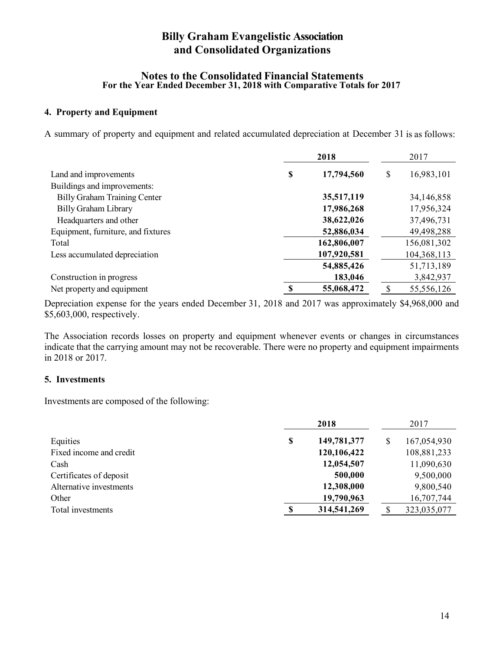#### **Notes to the Consolidated Financial Statements For the Year Ended December 31, 2018 with Comparative Totals for 2017**

### **4. Property and Equipment**

A summary of property and equipment and related accumulated depreciation at December 31 is as follows:

|                                     |    | 2017        |                  |
|-------------------------------------|----|-------------|------------------|
| Land and improvements               | \$ | 17,794,560  | \$<br>16,983,101 |
| Buildings and improvements:         |    |             |                  |
| <b>Billy Graham Training Center</b> |    | 35,517,119  | 34,146,858       |
| Billy Graham Library                |    | 17,986,268  | 17,956,324       |
| Headquarters and other              |    | 38,622,026  | 37,496,731       |
| Equipment, furniture, and fixtures  |    | 52,886,034  | 49,498,288       |
| Total                               |    | 162,806,007 | 156,081,302      |
| Less accumulated depreciation       |    | 107,920,581 | 104,368,113      |
|                                     |    | 54,885,426  | 51,713,189       |
| Construction in progress            |    | 183,046     | 3,842,937        |
| Net property and equipment          |    | 55,068,472  | 55,556,126       |

Depreciation expense for the years ended December 31, 2018 and 2017 was approximately \$4,968,000 and \$5,603,000, respectively.

The Association records losses on property and equipment whenever events or changes in circumstances indicate that the carrying amount may not be recoverable. There were no property and equipment impairments in 2018 or 2017.

#### **5. Investments**

Investments are composed of the following:

|                         | 2018 |             |   | 2017        |  |  |
|-------------------------|------|-------------|---|-------------|--|--|
| Equities                | \$   | 149,781,377 | S | 167,054,930 |  |  |
| Fixed income and credit |      | 120,106,422 |   | 108,881,233 |  |  |
| Cash                    |      | 12,054,507  |   | 11,090,630  |  |  |
| Certificates of deposit |      | 500,000     |   | 9,500,000   |  |  |
| Alternative investments |      | 12,308,000  |   | 9,800,540   |  |  |
| Other                   |      | 19,790,963  |   | 16,707,744  |  |  |
| Total investments       | S.   | 314,541,269 |   | 323,035,077 |  |  |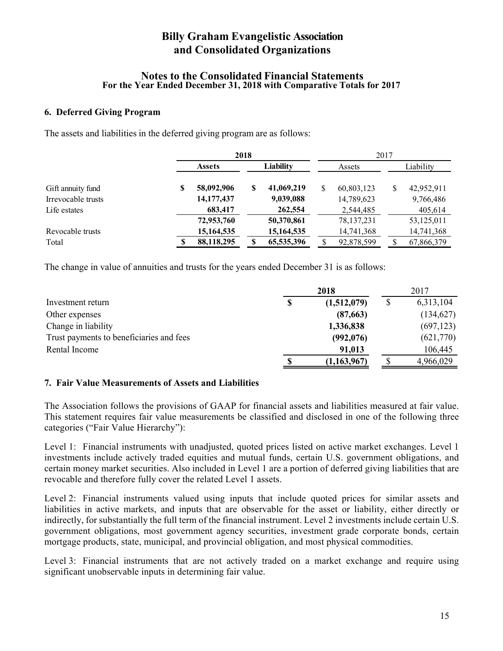#### **Notes to the Consolidated Financial Statements For the Year Ended December 31, 2018 with Comparative Totals for 2017**

### **6. Deferred Giving Program**

The assets and liabilities in the deferred giving program are as follows:

|                    | 2018          |    |              | 2017 |              |    |            |
|--------------------|---------------|----|--------------|------|--------------|----|------------|
|                    | <b>Assets</b> |    | Liability    |      | Assets       |    | Liability  |
| Gift annuity fund  | 58,092,906    | \$ | 41,069,219   |      | 60,803,123   | \$ | 42,952,911 |
| Irrevocable trusts | 14,177,437    |    | 9,039,088    |      | 14,789,623   |    | 9,766,486  |
| Life estates       | 683,417       |    | 262,554      |      | 2,544,485    |    | 405,614    |
|                    | 72,953,760    |    | 50,370,861   |      | 78, 137, 231 |    | 53,125,011 |
| Revocable trusts   | 15,164,535    |    | 15, 164, 535 |      | 14,741,368   |    | 14,741,368 |
| Total              | 88,118,295    |    | 65,535,396   |      | 92,878,599   |    | 67,866,379 |

The change in value of annuities and trusts for the years ended December 31 is as follows:

|                                          | 2018 |             |    | 2017       |  |
|------------------------------------------|------|-------------|----|------------|--|
| Investment return                        | \$   | (1,512,079) | \$ | 6,313,104  |  |
| Other expenses                           |      | (87,663)    |    | (134, 627) |  |
| Change in liability                      |      | 1,336,838   |    | (697, 123) |  |
| Trust payments to beneficiaries and fees |      | (992, 076)  |    | (621,770)  |  |
| Rental Income                            |      | 91,013      |    | 106,445    |  |
|                                          |      | (1,163,967) |    | 4,966,029  |  |

#### **7. Fair Value Measurements of Assets and Liabilities**

The Association follows the provisions of GAAP for financial assets and liabilities measured at fair value. This statement requires fair value measurements be classified and disclosed in one of the following three categories ("Fair Value Hierarchy"):

Level 1: Financial instruments with unadjusted, quoted prices listed on active market exchanges. Level 1 investments include actively traded equities and mutual funds, certain U.S. government obligations, and certain money market securities. Also included in Level 1 are a portion of deferred giving liabilities that are revocable and therefore fully cover the related Level 1 assets.

Level 2: Financial instruments valued using inputs that include quoted prices for similar assets and liabilities in active markets, and inputs that are observable for the asset or liability, either directly or indirectly, for substantially the full term of the financial instrument. Level 2 investments include certain U.S. government obligations, most government agency securities, investment grade corporate bonds, certain mortgage products, state, municipal, and provincial obligation, and most physical commodities.

Level 3: Financial instruments that are not actively traded on a market exchange and require using significant unobservable inputs in determining fair value.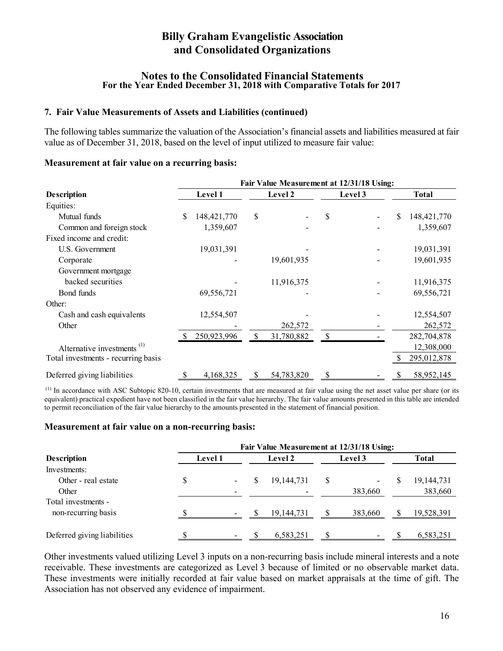#### **Notes to the Consolidated Financial Statements For the Year Ended December 31, 2018 with Comparative Totals for 2017**

#### **7. Fair Value Measurements of Assets and Liabilities (continued)**

The following tables summarize the valuation of the Association's financial assets and liabilities measured at fair value as of December 31, 2018, based on the level of input utilized to measure fair value:

#### **Measurement at fair value on a recurring basis:**

|                                        | Fair Value Measurement at 12/31/18 Using: |                            |         |                     |  |  |
|----------------------------------------|-------------------------------------------|----------------------------|---------|---------------------|--|--|
| <b>Description</b>                     | Level 1                                   | Level 2                    | Level 3 | <b>Total</b>        |  |  |
| Equities:                              |                                           |                            |         |                     |  |  |
| Mutual funds                           | \$<br>148, 421, 770                       | \$                         | S       | \$<br>148, 421, 770 |  |  |
| Common and foreign stock               | 1,359,607                                 |                            |         | 1,359,607           |  |  |
| Fixed income and credit:               |                                           |                            |         |                     |  |  |
| U.S. Government                        | 19,031,391                                |                            |         | 19,031,391          |  |  |
| Corporate                              |                                           | 19,601,935                 |         | 19,601,935          |  |  |
| Government mortgage                    |                                           |                            |         |                     |  |  |
| backed securities                      |                                           | 11,916,375                 |         | 11,916,375          |  |  |
| Bond funds                             | 69,556,721                                |                            |         | 69,556,721          |  |  |
| Other:                                 |                                           |                            |         |                     |  |  |
| Cash and cash equivalents              | 12,554,507                                |                            |         | 12,554,507          |  |  |
| Other                                  |                                           | 262,572                    |         | 262,572             |  |  |
|                                        | 250,923,996<br>-S                         | $\mathbb{S}$<br>31,780,882 |         | 282,704,878         |  |  |
| Alternative investments <sup>(1)</sup> |                                           |                            |         | 12,308,000          |  |  |
| Total investments - recurring basis    |                                           |                            |         | 295,012,878         |  |  |
| Deferred giving liabilities            | 4,168,325                                 | 54,783,820<br>S            | \$      | 58,952,145          |  |  |

 $<sup>(1)</sup>$  In accordance with ASC Subtopic 820-10, certain investments that are measured at fair value using the net asset value per share (or its</sup> equivalent) practical expedient have not been classified in the fair value hierarchy. The fair value amounts presented in this table are intended to permit reconciliation of the fair value hierarchy to the amounts presented in the statement of financial position.

#### **Measurement at fair value on a non-recurring basis:**

| <b>Description</b>          | Fair Value Measurement at 12/31/18 Using: |                          |   |              |    |                          |              |              |  |  |
|-----------------------------|-------------------------------------------|--------------------------|---|--------------|----|--------------------------|--------------|--------------|--|--|
|                             | Level 1                                   |                          |   | Level 2      |    | Level 3                  | <b>Total</b> |              |  |  |
| Investments:                |                                           |                          |   |              |    |                          |              |              |  |  |
| Other - real estate         | \$                                        | $\overline{\phantom{a}}$ | S | 19,144,731   | \$ | $\overline{\phantom{a}}$ | S            | 19, 144, 731 |  |  |
| Other                       |                                           | $\overline{\phantom{0}}$ |   |              |    | 383,660                  |              | 383,660      |  |  |
| Total investments -         |                                           |                          |   |              |    |                          |              |              |  |  |
| non-recurring basis         |                                           |                          |   | 19, 144, 731 |    | 383,660                  |              | 19,528,391   |  |  |
|                             |                                           |                          |   |              |    |                          |              |              |  |  |
| Deferred giving liabilities |                                           |                          |   | 6,583,251    |    |                          |              | 6,583,251    |  |  |

Other investments valued utilizing Level 3 inputs on a non-recurring basis include mineral interests and a note receivable. These investments are categorized as Level 3 because of limited or no observable market data. These investments were initially recorded at fair value based on market appraisals at the time of gift. The Association has not observed any evidence of impairment.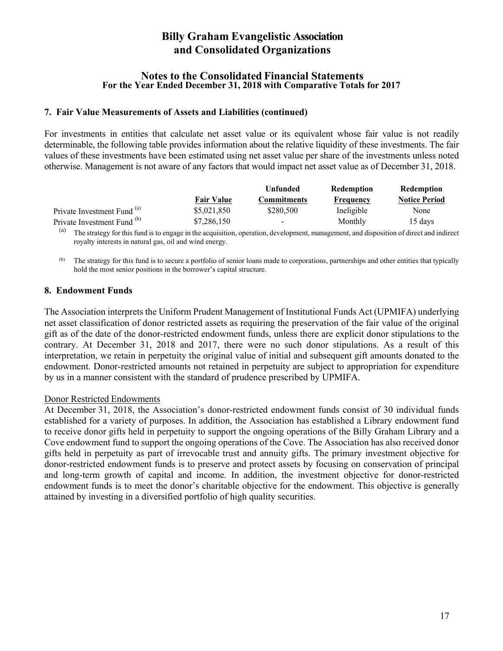#### **Notes to the Consolidated Financial Statements For the Year Ended December 31, 2018 with Comparative Totals for 2017**

#### **7. Fair Value Measurements of Assets and Liabilities (continued)**

For investments in entities that calculate net asset value or its equivalent whose fair value is not readily determinable, the following table provides information about the relative liquidity of these investments. The fair values of these investments have been estimated using net asset value per share of the investments unless noted otherwise. Management is not aware of any factors that would impact net asset value as of December 31, 2018.

|                                        |                   | Unfunded                 | Redemption | Redemption           |
|----------------------------------------|-------------------|--------------------------|------------|----------------------|
|                                        | <b>Fair Value</b> | <b>Commitments</b>       | Frequency  | <b>Notice Period</b> |
| Private Investment Fund <sup>(a)</sup> | \$5,021,850       | \$280,500                | Ineligible | None                 |
| Private Investment Fund <sup>(b)</sup> | \$7,286,150       | $\overline{\phantom{0}}$ | Monthly    | 15 days              |

(a) The strategy for this fund is to engage in the acquisition, operation, development, management, and disposition of direct and indirect royalty interests in natural gas, oil and wind energy.

(b) The strategy for this fund is to secure a portfolio of senior loans made to corporations, partnerships and other entities that typically hold the most senior positions in the borrower's capital structure.

#### **8. Endowment Funds**

The Association interprets the Uniform Prudent Management of Institutional Funds Act (UPMIFA) underlying net asset classification of donor restricted assets as requiring the preservation of the fair value of the original gift as of the date of the donor-restricted endowment funds, unless there are explicit donor stipulations to the contrary. At December 31, 2018 and 2017, there were no such donor stipulations. As a result of this interpretation, we retain in perpetuity the original value of initial and subsequent gift amounts donated to the endowment. Donor-restricted amounts not retained in perpetuity are subject to appropriation for expenditure by us in a manner consistent with the standard of prudence prescribed by UPMIFA.

#### Donor Restricted Endowments

At December 31, 2018, the Association's donor-restricted endowment funds consist of 30 individual funds established for a variety of purposes. In addition, the Association has established a Library endowment fund to receive donor gifts held in perpetuity to support the ongoing operations of the Billy Graham Library and a Cove endowment fund to support the ongoing operations of the Cove. The Association has also received donor gifts held in perpetuity as part of irrevocable trust and annuity gifts. The primary investment objective for donor-restricted endowment funds is to preserve and protect assets by focusing on conservation of principal and long-term growth of capital and income. In addition, the investment objective for donor-restricted endowment funds is to meet the donor's charitable objective for the endowment. This objective is generally attained by investing in a diversified portfolio of high quality securities.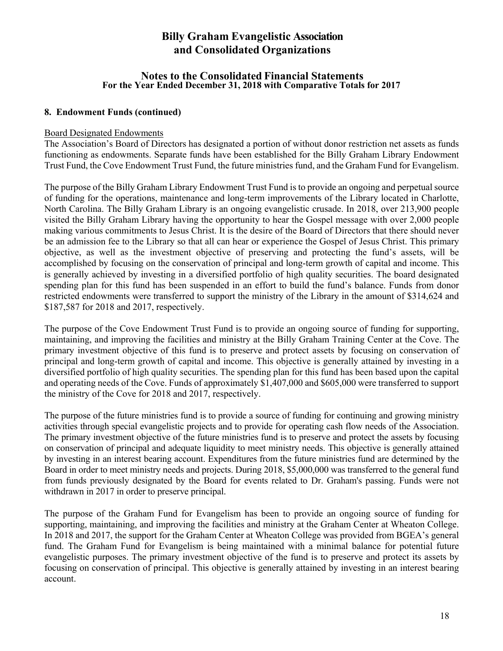#### **Notes to the Consolidated Financial Statements For the Year Ended December 31, 2018 with Comparative Totals for 2017**

### **8. Endowment Funds (continued)**

#### Board Designated Endowments

The Association's Board of Directors has designated a portion of without donor restriction net assets as funds functioning as endowments. Separate funds have been established for the Billy Graham Library Endowment Trust Fund, the Cove Endowment Trust Fund, the future ministries fund, and the Graham Fund for Evangelism.

The purpose of the Billy Graham Library Endowment Trust Fund is to provide an ongoing and perpetual source of funding for the operations, maintenance and long-term improvements of the Library located in Charlotte, North Carolina. The Billy Graham Library is an ongoing evangelistic crusade. In 2018, over 213,900 people visited the Billy Graham Library having the opportunity to hear the Gospel message with over 2,000 people making various commitments to Jesus Christ. It is the desire of the Board of Directors that there should never be an admission fee to the Library so that all can hear or experience the Gospel of Jesus Christ. This primary objective, as well as the investment objective of preserving and protecting the fund's assets, will be accomplished by focusing on the conservation of principal and long-term growth of capital and income. This is generally achieved by investing in a diversified portfolio of high quality securities. The board designated spending plan for this fund has been suspended in an effort to build the fund's balance. Funds from donor restricted endowments were transferred to support the ministry of the Library in the amount of \$314,624 and \$187,587 for 2018 and 2017, respectively.

The purpose of the Cove Endowment Trust Fund is to provide an ongoing source of funding for supporting, maintaining, and improving the facilities and ministry at the Billy Graham Training Center at the Cove. The primary investment objective of this fund is to preserve and protect assets by focusing on conservation of principal and long-term growth of capital and income. This objective is generally attained by investing in a diversified portfolio of high quality securities. The spending plan for this fund has been based upon the capital and operating needs of the Cove. Funds of approximately \$1,407,000 and \$605,000 were transferred to support the ministry of the Cove for 2018 and 2017, respectively.

The purpose of the future ministries fund is to provide a source of funding for continuing and growing ministry activities through special evangelistic projects and to provide for operating cash flow needs of the Association. The primary investment objective of the future ministries fund is to preserve and protect the assets by focusing on conservation of principal and adequate liquidity to meet ministry needs. This objective is generally attained by investing in an interest bearing account. Expenditures from the future ministries fund are determined by the Board in order to meet ministry needs and projects. During 2018, \$5,000,000 was transferred to the general fund from funds previously designated by the Board for events related to Dr. Graham's passing. Funds were not withdrawn in 2017 in order to preserve principal.

The purpose of the Graham Fund for Evangelism has been to provide an ongoing source of funding for supporting, maintaining, and improving the facilities and ministry at the Graham Center at Wheaton College. In 2018 and 2017, the support for the Graham Center at Wheaton College was provided from BGEA's general fund. The Graham Fund for Evangelism is being maintained with a minimal balance for potential future evangelistic purposes. The primary investment objective of the fund is to preserve and protect its assets by focusing on conservation of principal. This objective is generally attained by investing in an interest bearing account.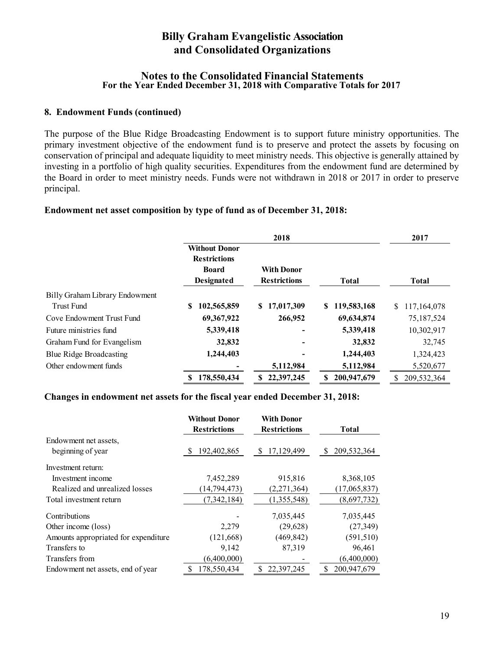#### **Notes to the Consolidated Financial Statements For the Year Ended December 31, 2018 with Comparative Totals for 2017**

#### **8. Endowment Funds (continued)**

The purpose of the Blue Ridge Broadcasting Endowment is to support future ministry opportunities. The primary investment objective of the endowment fund is to preserve and protect the assets by focusing on conservation of principal and adequate liquidity to meet ministry needs. This objective is generally attained by investing in a portfolio of high quality securities. Expenditures from the endowment fund are determined by the Board in order to meet ministry needs. Funds were not withdrawn in 2018 or 2017 in order to preserve principal.

#### **Endowment net asset composition by type of fund as of December 31, 2018:**

|                                |                                                                                  | 2017                                                     |                   |                   |  |
|--------------------------------|----------------------------------------------------------------------------------|----------------------------------------------------------|-------------------|-------------------|--|
|                                | <b>Without Donor</b><br><b>Restrictions</b><br><b>Board</b><br><b>Designated</b> | <b>With Donor</b><br><b>Restrictions</b><br><b>Total</b> |                   | <b>Total</b>      |  |
| Billy Graham Library Endowment |                                                                                  |                                                          |                   |                   |  |
| <b>Trust Fund</b>              | 102,565,859<br>S                                                                 | 17,017,309<br>S.                                         | 119,583,168<br>S. | 117,164,078<br>S. |  |
| Cove Endowment Trust Fund      | 69,367,922                                                                       | 266,952                                                  | 69,634,874        | 75,187,524        |  |
| Future ministries fund         | 5,339,418                                                                        |                                                          | 5,339,418         | 10,302,917        |  |
| Graham Fund for Evangelism     | 32,832                                                                           |                                                          | 32,832            | 32,745            |  |
| Blue Ridge Broadcasting        | 1,244,403                                                                        |                                                          | 1,244,403         | 1,324,423         |  |
| Other endowment funds          |                                                                                  | 5,112,984                                                | 5,112,984         | 5,520,677         |  |
|                                | 178,550,434                                                                      | 22,397,245<br>S                                          | 200,947,679       | 209,532,364<br>S  |  |

#### **Changes in endowment net assets for the fiscal year ended December 31, 2018:**

|                                      | <b>Without Donor</b><br><b>Restrictions</b> | <b>With Donor</b><br><b>Restrictions</b> | <b>Total</b>              |  |  |
|--------------------------------------|---------------------------------------------|------------------------------------------|---------------------------|--|--|
| Endowment net assets,                |                                             |                                          |                           |  |  |
| beginning of year                    | 192,402,865<br>S                            | 17,129,499<br><sup>S</sup>               | 209, 532, 364<br><b>S</b> |  |  |
| Investment return:                   |                                             |                                          |                           |  |  |
| Investment income                    | 7,452,289                                   | 915,816                                  | 8,368,105                 |  |  |
| Realized and unrealized losses       | (14, 794, 473)                              | (2,271,364)                              | (17,065,837)              |  |  |
| Total investment return              | (7,342,184)                                 | (1,355,548)                              | (8,697,732)               |  |  |
| Contributions                        |                                             | 7,035,445                                | 7,035,445                 |  |  |
| Other income (loss)                  | 2.279                                       | (29, 628)                                | (27, 349)                 |  |  |
| Amounts appropriated for expenditure | (121, 668)                                  | (469, 842)                               | (591, 510)                |  |  |
| Transfers to                         | 9,142                                       | 87,319                                   | 96,461                    |  |  |
| Transfers from                       | (6,400,000)                                 |                                          | (6,400,000)               |  |  |
| Endowment net assets, end of year    | 178,550,434                                 | 22,397,245                               | 200,947,679               |  |  |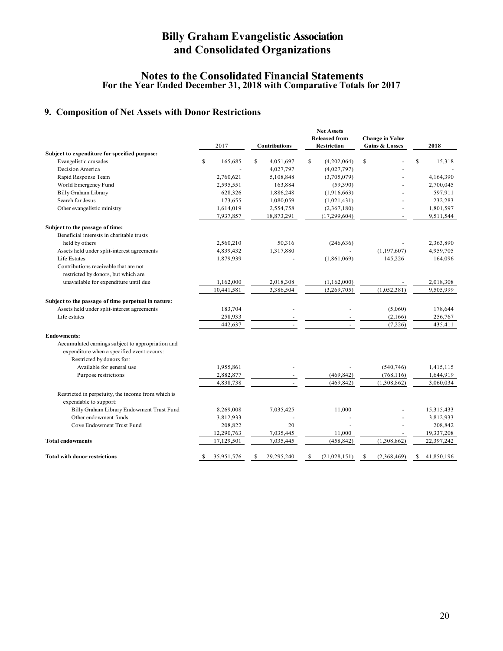#### **Notes to the Consolidated Financial Statements For the Year Ended December 31, 2018 with Comparative Totals for 2017**

### **9. Composition of Net Assets with Donor Restrictions**

|                                                     |   | 2017                 |    | <b>Contributions</b> |    | <b>Net Assets</b><br><b>Released from</b><br>Restriction |   | <b>Change in Value</b><br>Gains & Losses |    | 2018                 |
|-----------------------------------------------------|---|----------------------|----|----------------------|----|----------------------------------------------------------|---|------------------------------------------|----|----------------------|
| Subject to expenditure for specified purpose:       |   |                      |    |                      |    |                                                          |   |                                          |    |                      |
| Evangelistic crusades                               | S | 165,685              | \$ | 4,051,697            | \$ | (4,202,064)                                              | S |                                          | S  | 15,318               |
| Decision America                                    |   |                      |    | 4,027,797            |    | (4,027,797)                                              |   |                                          |    |                      |
| Rapid Response Team                                 |   | 2,760,621            |    | 5,108,848            |    | (3,705,079)                                              |   |                                          |    | 4,164,390            |
| World Emergency Fund                                |   | 2,595,551            |    | 163,884              |    | (59,390)                                                 |   |                                          |    | 2,700,045            |
| <b>Billy Graham Library</b>                         |   | 628,326              |    | 1,886,248            |    | (1,916,663)                                              |   |                                          |    | 597,911              |
| Search for Jesus                                    |   | 173,655              |    | 1,080,059            |    | (1,021,431)                                              |   |                                          |    | 232,283              |
| Other evangelistic ministry                         |   | 1,614,019            |    | 2,554,758            |    | (2,367,180)                                              |   |                                          |    | 1,801,597            |
|                                                     |   | 7,937,857            |    | 18,873,291           |    | (17, 299, 604)                                           |   |                                          |    | 9,511,544            |
| Subject to the passage of time:                     |   |                      |    |                      |    |                                                          |   |                                          |    |                      |
| Beneficial interests in charitable trusts           |   |                      |    |                      |    |                                                          |   |                                          |    |                      |
| held by others                                      |   | 2,560,210            |    | 50,316               |    | (246, 636)                                               |   |                                          |    | 2,363,890            |
| Assets held under split-interest agreements         |   | 4,839,432            |    | 1,317,880            |    |                                                          |   | (1,197,607)                              |    | 4,959,705            |
| <b>Life Estates</b>                                 |   | 1,879,939            |    |                      |    | (1,861,069)                                              |   | 145,226                                  |    | 164,096              |
| Contributions receivable that are not               |   |                      |    |                      |    |                                                          |   |                                          |    |                      |
| restricted by donors, but which are                 |   |                      |    |                      |    |                                                          |   |                                          |    |                      |
| unavailable for expenditure until due               |   | 1,162,000            |    | 2,018,308            |    | (1,162,000)                                              |   |                                          |    | 2,018,308            |
|                                                     |   | 10,441,581           |    | 3,386,504            |    | (3,269,705)                                              |   | (1,052,381)                              |    | 9,505,999            |
| Subject to the passage of time perpetual in nature: |   |                      |    |                      |    |                                                          |   |                                          |    |                      |
| Assets held under split-interest agreements         |   | 183,704              |    |                      |    |                                                          |   | (5,060)                                  |    | 178,644              |
| Life estates                                        |   | 258,933              |    |                      |    |                                                          |   | (2,166)                                  |    | 256,767              |
|                                                     |   | 442,637              |    |                      |    |                                                          |   | (7,226)                                  |    | 435,411              |
| <b>Endowments:</b>                                  |   |                      |    |                      |    |                                                          |   |                                          |    |                      |
| Accumulated earnings subject to appropriation and   |   |                      |    |                      |    |                                                          |   |                                          |    |                      |
| expenditure when a specified event occurs:          |   |                      |    |                      |    |                                                          |   |                                          |    |                      |
| Restricted by donors for:                           |   |                      |    |                      |    |                                                          |   |                                          |    |                      |
| Available for general use                           |   | 1,955,861            |    |                      |    |                                                          |   | (540,746)                                |    | 1,415,115            |
| Purpose restrictions                                |   | 2,882,877            |    |                      |    | (469, 842)                                               |   | (768, 116)                               |    | 1,644,919            |
|                                                     |   | 4,838,738            |    |                      |    | (469, 842)                                               |   | (1,308,862)                              |    | 3,060,034            |
| Restricted in perpetuity, the income from which is  |   |                      |    |                      |    |                                                          |   |                                          |    |                      |
| expendable to support:                              |   |                      |    |                      |    |                                                          |   |                                          |    |                      |
| Billy Graham Library Endowment Trust Fund           |   | 8,269,008            |    |                      |    | 11,000                                                   |   |                                          |    | 15,315,433           |
| Other endowment funds                               |   |                      |    | 7,035,425            |    |                                                          |   |                                          |    |                      |
| Cove Endowment Trust Fund                           |   | 3,812,933<br>208,822 |    | 20                   |    |                                                          |   |                                          |    | 3,812,933<br>208,842 |
|                                                     |   | 12,290,763           |    | 7,035,445            |    | 11,000                                                   |   |                                          |    | 19,337,208           |
| <b>Total endowments</b>                             |   | 17,129,501           |    | 7,035,445            |    | (458, 842)                                               |   | (1,308,862)                              |    | 22,397,242           |
|                                                     |   |                      |    |                      |    |                                                          |   |                                          |    |                      |
| <b>Total with donor restrictions</b>                | S | 35,951,576           | S  | 29,295,240           | S  | (21, 028, 151)                                           | S | (2,368,469)                              | S. | 41,850,196           |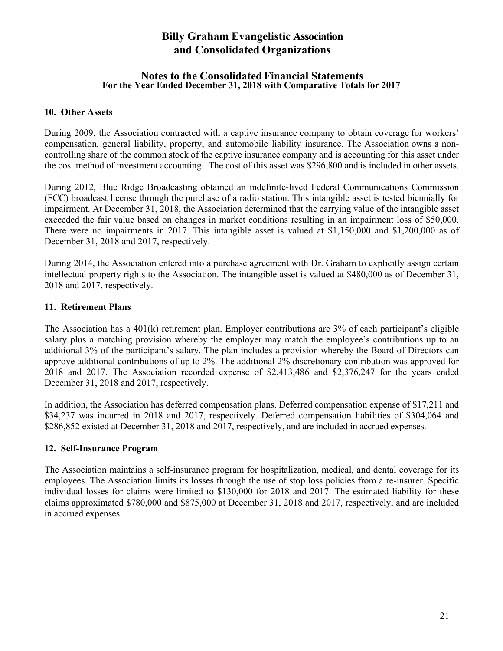#### **Notes to the Consolidated Financial Statements For the Year Ended December 31, 2018 with Comparative Totals for 2017**

#### **10. Other Assets**

During 2009, the Association contracted with a captive insurance company to obtain coverage for workers' compensation, general liability, property, and automobile liability insurance. The Association owns a noncontrolling share of the common stock of the captive insurance company and is accounting for this asset under the cost method of investment accounting. The cost of this asset was \$296,800 and is included in other assets.

During 2012, Blue Ridge Broadcasting obtained an indefinite-lived Federal Communications Commission (FCC) broadcast license through the purchase of a radio station. This intangible asset is tested biennially for impairment. At December 31, 2018, the Association determined that the carrying value of the intangible asset exceeded the fair value based on changes in market conditions resulting in an impairment loss of \$50,000. There were no impairments in 2017. This intangible asset is valued at \$1,150,000 and \$1,200,000 as of December 31, 2018 and 2017, respectively.

During 2014, the Association entered into a purchase agreement with Dr. Graham to explicitly assign certain intellectual property rights to the Association. The intangible asset is valued at \$480,000 as of December 31, 2018 and 2017, respectively.

### **11. Retirement Plans**

The Association has a 401(k) retirement plan. Employer contributions are 3% of each participant's eligible salary plus a matching provision whereby the employer may match the employee's contributions up to an additional 3% of the participant's salary. The plan includes a provision whereby the Board of Directors can approve additional contributions of up to 2%. The additional 2% discretionary contribution was approved for 2018 and 2017. The Association recorded expense of \$2,413,486 and \$2,376,247 for the years ended December 31, 2018 and 2017, respectively.

In addition, the Association has deferred compensation plans. Deferred compensation expense of \$17,211 and \$34,237 was incurred in 2018 and 2017, respectively. Deferred compensation liabilities of \$304,064 and \$286,852 existed at December 31, 2018 and 2017, respectively, and are included in accrued expenses.

#### **12. Self-Insurance Program**

The Association maintains a self-insurance program for hospitalization, medical, and dental coverage for its employees. The Association limits its losses through the use of stop loss policies from a re-insurer. Specific individual losses for claims were limited to \$130,000 for 2018 and 2017. The estimated liability for these claims approximated \$780,000 and \$875,000 at December 31, 2018 and 2017, respectively, and are included in accrued expenses.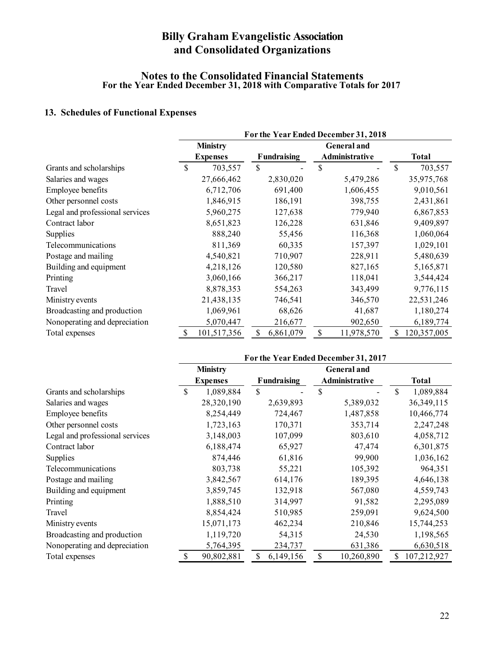#### **Notes to the Consolidated Financial Statements For the Year Ended December 31, 2018 with Comparative Totals for 2017**

### **13. Schedules of Functional Expenses**

|                                 | For the Year Ended December 31, 2018  |                 |    |                    |    |                |    |              |  |  |
|---------------------------------|---------------------------------------|-----------------|----|--------------------|----|----------------|----|--------------|--|--|
|                                 | <b>Ministry</b><br><b>General and</b> |                 |    |                    |    |                |    |              |  |  |
|                                 |                                       | <b>Expenses</b> |    | <b>Fundraising</b> |    | Administrative |    | <b>Total</b> |  |  |
| Grants and scholarships         | \$                                    | 703,557         | \$ |                    | \$ |                | S  | 703,557      |  |  |
| Salaries and wages              |                                       | 27,666,462      |    | 2,830,020          |    | 5,479,286      |    | 35,975,768   |  |  |
| Employee benefits               |                                       | 6,712,706       |    | 691,400            |    | 1,606,455      |    | 9,010,561    |  |  |
| Other personnel costs           |                                       | 1,846,915       |    | 186,191            |    | 398,755        |    | 2,431,861    |  |  |
| Legal and professional services |                                       | 5,960,275       |    | 127,638            |    | 779,940        |    | 6,867,853    |  |  |
| Contract labor                  |                                       | 8,651,823       |    | 126,228            |    | 631,846        |    | 9,409,897    |  |  |
| Supplies                        |                                       | 888,240         |    | 55,456             |    | 116,368        |    | 1,060,064    |  |  |
| Telecommunications              |                                       | 811,369         |    | 60,335             |    | 157,397        |    | 1,029,101    |  |  |
| Postage and mailing             |                                       | 4,540,821       |    | 710,907            |    | 228,911        |    | 5,480,639    |  |  |
| Building and equipment          |                                       | 4,218,126       |    | 120,580            |    | 827,165        |    | 5,165,871    |  |  |
| Printing                        |                                       | 3,060,166       |    | 366,217            |    | 118,041        |    | 3,544,424    |  |  |
| Travel                          |                                       | 8,878,353       |    | 554,263            |    | 343,499        |    | 9,776,115    |  |  |
| Ministry events                 |                                       | 21,438,135      |    | 746,541            |    | 346,570        |    | 22,531,246   |  |  |
| Broadcasting and production     |                                       | 1,069,961       |    | 68,626             |    | 41,687         |    | 1,180,274    |  |  |
| Nonoperating and depreciation   |                                       | 5,070,447       |    | 216,677            |    | 902,650        |    | 6,189,774    |  |  |
| Total expenses                  |                                       | 101,517,356     | \$ | 6,861,079          | \$ | 11,978,570     | \$ | 120,357,005  |  |  |

|                                 | For the Year Ended December 31, 2017 |                 |                    |                    |    |              |  |  |  |
|---------------------------------|--------------------------------------|-----------------|--------------------|--------------------|----|--------------|--|--|--|
|                                 |                                      | <b>Ministry</b> |                    | <b>General</b> and |    |              |  |  |  |
|                                 |                                      | <b>Expenses</b> | <b>Fundraising</b> | Administrative     |    | <b>Total</b> |  |  |  |
| Grants and scholarships         | $\mathbb{S}$                         | 1,089,884       | \$                 | \$                 | \$ | 1,089,884    |  |  |  |
| Salaries and wages              |                                      | 28,320,190      | 2,639,893          | 5,389,032          |    | 36, 349, 115 |  |  |  |
| Employee benefits               |                                      | 8,254,449       | 724,467            | 1,487,858          |    | 10,466,774   |  |  |  |
| Other personnel costs           |                                      | 1,723,163       | 170,371            | 353,714            |    | 2,247,248    |  |  |  |
| Legal and professional services |                                      | 3,148,003       | 107,099            | 803,610            |    | 4,058,712    |  |  |  |
| Contract labor                  |                                      | 6,188,474       | 65,927             | 47,474             |    | 6,301,875    |  |  |  |
| Supplies                        |                                      | 874,446         | 61,816             | 99,900             |    | 1,036,162    |  |  |  |
| Telecommunications              |                                      | 803,738         | 55,221             | 105,392            |    | 964,351      |  |  |  |
| Postage and mailing             |                                      | 3,842,567       | 614,176            | 189,395            |    | 4,646,138    |  |  |  |
| Building and equipment          |                                      | 3,859,745       | 132,918            | 567,080            |    | 4,559,743    |  |  |  |
| Printing                        |                                      | 1,888,510       | 314,997            | 91,582             |    | 2,295,089    |  |  |  |
| Travel                          |                                      | 8,854,424       | 510,985            | 259,091            |    | 9,624,500    |  |  |  |
| Ministry events                 |                                      | 15,071,173      | 462,234            | 210,846            |    | 15,744,253   |  |  |  |
| Broadcasting and production     |                                      | 1,119,720       | 54,315             | 24,530             |    | 1,198,565    |  |  |  |
| Nonoperating and depreciation   |                                      | 5,764,395       | 234,737            | 631,386            |    | 6,630,518    |  |  |  |
| Total expenses                  | \$                                   | 90,802,881      | \$<br>6,149,156    | \$<br>10,260,890   | \$ | 107,212,927  |  |  |  |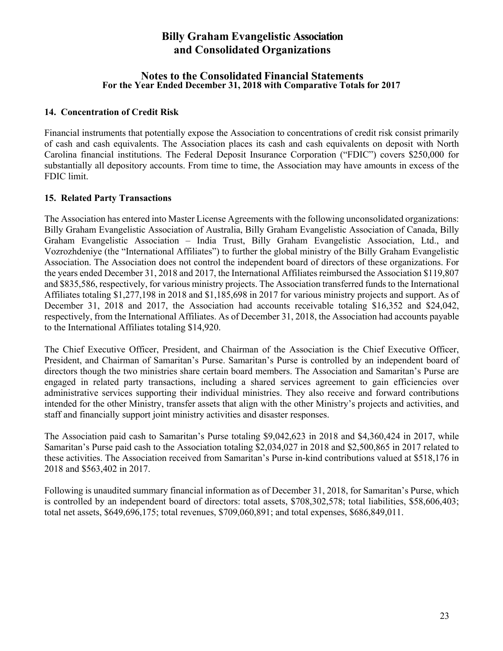#### **Notes to the Consolidated Financial Statements For the Year Ended December 31, 2018 with Comparative Totals for 2017**

### **14. Concentration of Credit Risk**

Financial instruments that potentially expose the Association to concentrations of credit risk consist primarily of cash and cash equivalents. The Association places its cash and cash equivalents on deposit with North Carolina financial institutions. The Federal Deposit Insurance Corporation ("FDIC") covers \$250,000 for substantially all depository accounts. From time to time, the Association may have amounts in excess of the FDIC limit.

### **15. Related Party Transactions**

The Association has entered into Master License Agreements with the following unconsolidated organizations: Billy Graham Evangelistic Association of Australia, Billy Graham Evangelistic Association of Canada, Billy Graham Evangelistic Association – India Trust, Billy Graham Evangelistic Association, Ltd., and Vozrozhdeniye (the "International Affiliates") to further the global ministry of the Billy Graham Evangelistic Association. The Association does not control the independent board of directors of these organizations. For the years ended December 31, 2018 and 2017, the International Affiliates reimbursed the Association \$119,807 and \$835,586, respectively, for various ministry projects. The Association transferred funds to the International Affiliates totaling \$1,277,198 in 2018 and \$1,185,698 in 2017 for various ministry projects and support. As of December 31, 2018 and 2017, the Association had accounts receivable totaling \$16,352 and \$24,042, respectively, from the International Affiliates. As of December 31, 2018, the Association had accounts payable to the International Affiliates totaling \$14,920.

The Chief Executive Officer, President, and Chairman of the Association is the Chief Executive Officer, President, and Chairman of Samaritan's Purse. Samaritan's Purse is controlled by an independent board of directors though the two ministries share certain board members. The Association and Samaritan's Purse are engaged in related party transactions, including a shared services agreement to gain efficiencies over administrative services supporting their individual ministries. They also receive and forward contributions intended for the other Ministry, transfer assets that align with the other Ministry's projects and activities, and staff and financially support joint ministry activities and disaster responses.

The Association paid cash to Samaritan's Purse totaling \$9,042,623 in 2018 and \$4,360,424 in 2017, while Samaritan's Purse paid cash to the Association totaling \$2,034,027 in 2018 and \$2,500,865 in 2017 related to these activities. The Association received from Samaritan's Purse in-kind contributions valued at \$518,176 in 2018 and \$563,402 in 2017.

Following is unaudited summary financial information as of December 31, 2018, for Samaritan's Purse, which is controlled by an independent board of directors: total assets, \$708,302,578; total liabilities, \$58,606,403; total net assets, \$649,696,175; total revenues, \$709,060,891; and total expenses, \$686,849,011.